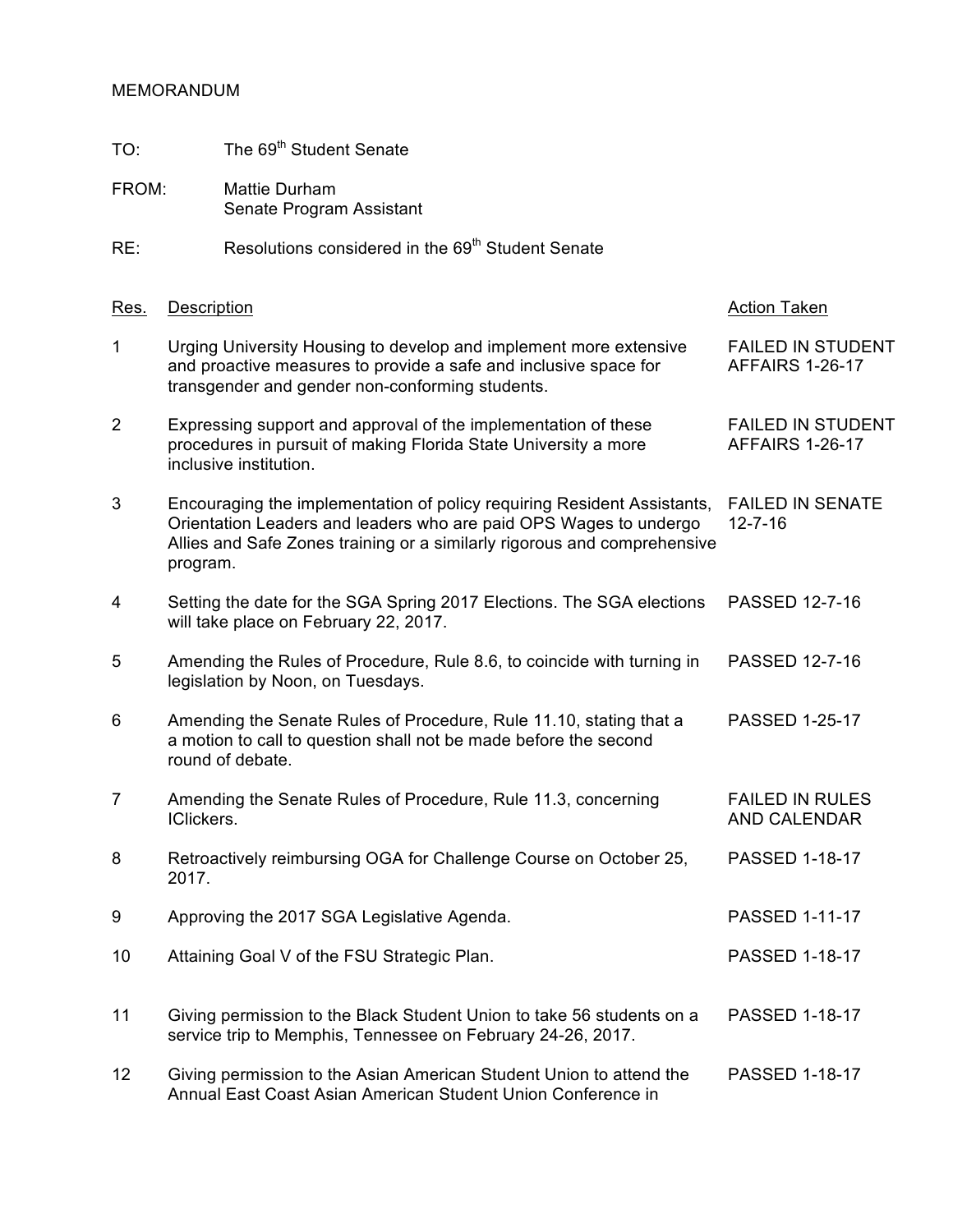## MEMORANDUM

- TO: The 69<sup>th</sup> Student Senate
- FROM: Mattie Durham Senate Program Assistant

## RE: Resolutions considered in the 69<sup>th</sup> Student Senate

| Res.           | <b>Description</b>                                                                                                                                                                                                                   | <b>Action Taken</b>                                |
|----------------|--------------------------------------------------------------------------------------------------------------------------------------------------------------------------------------------------------------------------------------|----------------------------------------------------|
| $\mathbf 1$    | Urging University Housing to develop and implement more extensive<br>and proactive measures to provide a safe and inclusive space for<br>transgender and gender non-conforming students.                                             | <b>FAILED IN STUDENT</b><br><b>AFFAIRS 1-26-17</b> |
| $\overline{2}$ | Expressing support and approval of the implementation of these<br>procedures in pursuit of making Florida State University a more<br>inclusive institution.                                                                          | <b>FAILED IN STUDENT</b><br><b>AFFAIRS 1-26-17</b> |
| 3              | Encouraging the implementation of policy requiring Resident Assistants,<br>Orientation Leaders and leaders who are paid OPS Wages to undergo<br>Allies and Safe Zones training or a similarly rigorous and comprehensive<br>program. | <b>FAILED IN SENATE</b><br>$12 - 7 - 16$           |
| $\overline{4}$ | Setting the date for the SGA Spring 2017 Elections. The SGA elections<br>will take place on February 22, 2017.                                                                                                                       | PASSED 12-7-16                                     |
| 5              | Amending the Rules of Procedure, Rule 8.6, to coincide with turning in<br>legislation by Noon, on Tuesdays.                                                                                                                          | PASSED 12-7-16                                     |
| 6              | Amending the Senate Rules of Procedure, Rule 11.10, stating that a<br>a motion to call to question shall not be made before the second<br>round of debate.                                                                           | <b>PASSED 1-25-17</b>                              |
| $\overline{7}$ | Amending the Senate Rules of Procedure, Rule 11.3, concerning<br>IClickers.                                                                                                                                                          | <b>FAILED IN RULES</b><br>AND CALENDAR             |
| 8              | Retroactively reimbursing OGA for Challenge Course on October 25,<br>2017.                                                                                                                                                           | <b>PASSED 1-18-17</b>                              |
| 9              | Approving the 2017 SGA Legislative Agenda.                                                                                                                                                                                           | <b>PASSED 1-11-17</b>                              |
| 10             | Attaining Goal V of the FSU Strategic Plan.                                                                                                                                                                                          | <b>PASSED 1-18-17</b>                              |
| 11             | Giving permission to the Black Student Union to take 56 students on a<br>service trip to Memphis, Tennessee on February 24-26, 2017.                                                                                                 | PASSED 1-18-17                                     |
| 12             | Giving permission to the Asian American Student Union to attend the<br>Annual East Coast Asian American Student Union Conference in                                                                                                  | <b>PASSED 1-18-17</b>                              |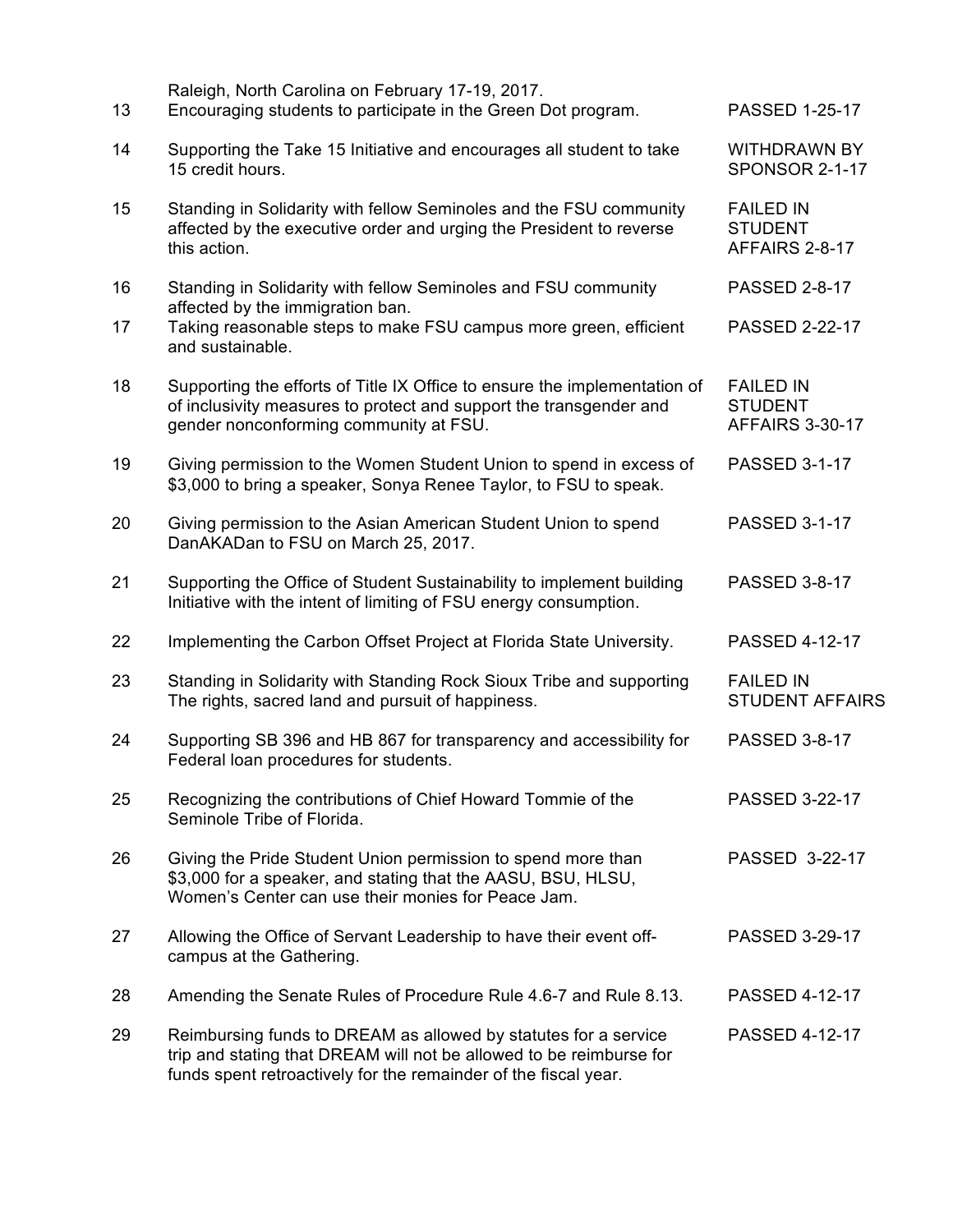| 13 | Raleigh, North Carolina on February 17-19, 2017.<br>Encouraging students to participate in the Green Dot program.                                                                                         | <b>PASSED 1-25-17</b>                                        |
|----|-----------------------------------------------------------------------------------------------------------------------------------------------------------------------------------------------------------|--------------------------------------------------------------|
| 14 | Supporting the Take 15 Initiative and encourages all student to take<br>15 credit hours.                                                                                                                  | <b>WITHDRAWN BY</b><br><b>SPONSOR 2-1-17</b>                 |
| 15 | Standing in Solidarity with fellow Seminoles and the FSU community<br>affected by the executive order and urging the President to reverse<br>this action.                                                 | <b>FAILED IN</b><br><b>STUDENT</b><br>AFFAIRS 2-8-17         |
| 16 | Standing in Solidarity with fellow Seminoles and FSU community                                                                                                                                            | <b>PASSED 2-8-17</b>                                         |
| 17 | affected by the immigration ban.<br>Taking reasonable steps to make FSU campus more green, efficient<br>and sustainable.                                                                                  | <b>PASSED 2-22-17</b>                                        |
| 18 | Supporting the efforts of Title IX Office to ensure the implementation of<br>of inclusivity measures to protect and support the transgender and<br>gender nonconforming community at FSU.                 | <b>FAILED IN</b><br><b>STUDENT</b><br><b>AFFAIRS 3-30-17</b> |
| 19 | Giving permission to the Women Student Union to spend in excess of<br>\$3,000 to bring a speaker, Sonya Renee Taylor, to FSU to speak.                                                                    | <b>PASSED 3-1-17</b>                                         |
| 20 | Giving permission to the Asian American Student Union to spend<br>DanAKADan to FSU on March 25, 2017.                                                                                                     | <b>PASSED 3-1-17</b>                                         |
| 21 | Supporting the Office of Student Sustainability to implement building<br>Initiative with the intent of limiting of FSU energy consumption.                                                                | <b>PASSED 3-8-17</b>                                         |
| 22 | Implementing the Carbon Offset Project at Florida State University.                                                                                                                                       | <b>PASSED 4-12-17</b>                                        |
| 23 | Standing in Solidarity with Standing Rock Sioux Tribe and supporting<br>The rights, sacred land and pursuit of happiness.                                                                                 | <b>FAILED IN</b><br><b>STUDENT AFFAIRS</b>                   |
| 24 | Supporting SB 396 and HB 867 for transparency and accessibility for<br>Federal loan procedures for students.                                                                                              | <b>PASSED 3-8-17</b>                                         |
| 25 | Recognizing the contributions of Chief Howard Tommie of the<br>Seminole Tribe of Florida.                                                                                                                 | <b>PASSED 3-22-17</b>                                        |
| 26 | Giving the Pride Student Union permission to spend more than<br>\$3,000 for a speaker, and stating that the AASU, BSU, HLSU,<br>Women's Center can use their monies for Peace Jam.                        | PASSED 3-22-17                                               |
| 27 | Allowing the Office of Servant Leadership to have their event off-<br>campus at the Gathering.                                                                                                            | <b>PASSED 3-29-17</b>                                        |
| 28 | Amending the Senate Rules of Procedure Rule 4.6-7 and Rule 8.13.                                                                                                                                          | <b>PASSED 4-12-17</b>                                        |
| 29 | Reimbursing funds to DREAM as allowed by statutes for a service<br>trip and stating that DREAM will not be allowed to be reimburse for<br>funds spent retroactively for the remainder of the fiscal year. | <b>PASSED 4-12-17</b>                                        |